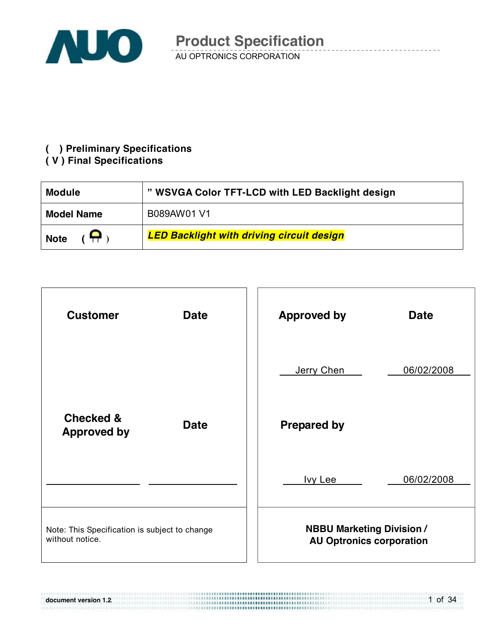

AU OPTRONICS CORPORATION **Product Specification** 

#### **( ) Preliminary Specifications**

#### **( V ) Final Specifications**

**document version 1.2**.

| <b>Module</b>     | " WSVGA Color TFT-LCD with LED Backlight design  |
|-------------------|--------------------------------------------------|
| <b>Model Name</b> | B089AW01 V1                                      |
| Ω.<br><b>Note</b> | <b>LED Backlight with driving circuit design</b> |



1 of 34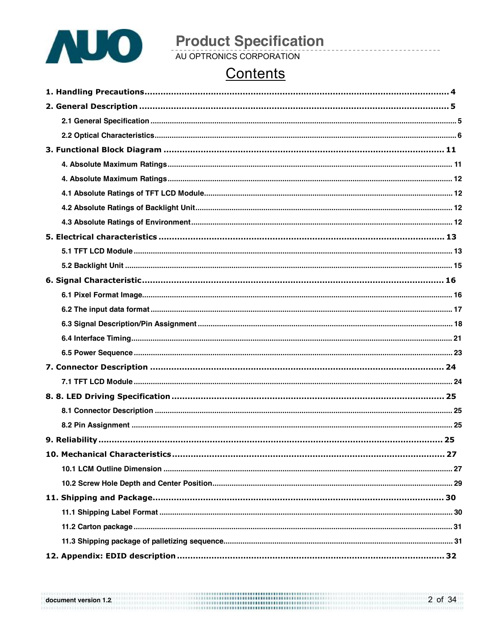

# **Product Specification**<br>AU OPTRONICS CORPORATION

### Contents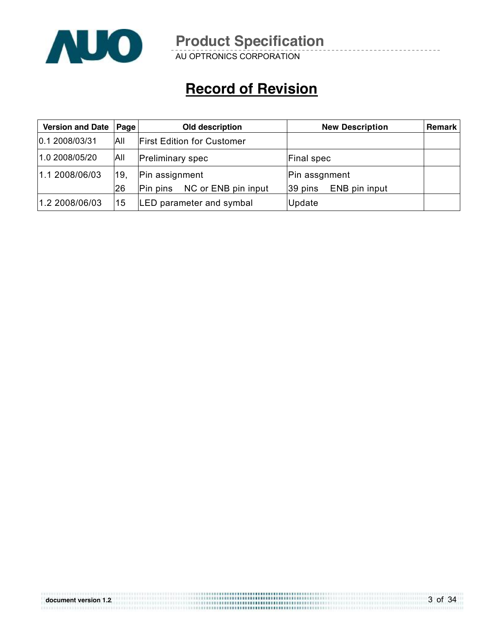

AU OPTRONICS CORPORATION

### **Record of Revision**

| Version and Date   Page |     | Old description                   | <b>New Description</b>   | Remark |
|-------------------------|-----|-----------------------------------|--------------------------|--------|
| 0.12008/03/31           | All | <b>First Edition for Customer</b> |                          |        |
| 1.0 2008/05/20          | All | <b>Preliminary spec</b>           | <b>Final spec</b>        |        |
| 1.1 2008/06/03          | 19, | Pin assignment                    | Pin assgnment            |        |
|                         | 26  | NC or ENB pin input<br>Pin pins   | ENB pin input<br>39 pins |        |
| 1.2 2008/06/03          | 15  | LED parameter and symbal          | Update                   |        |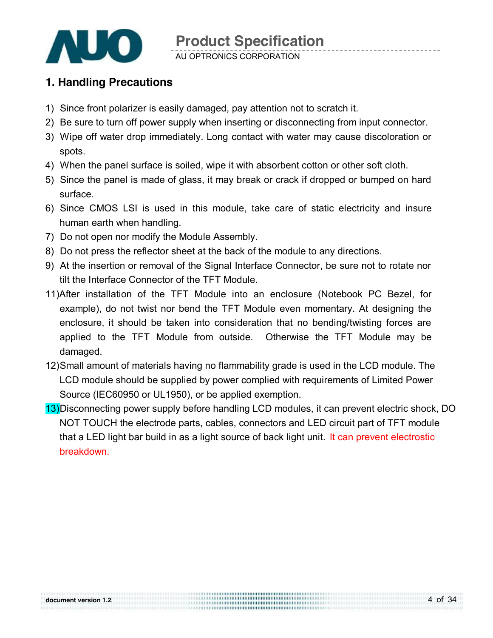

AU OPTRONICS CORPORATION

### **1. Handling Precautions**

- 1) Since front polarizer is easily damaged, pay attention not to scratch it.
- 2) Be sure to turn off power supply when inserting or disconnecting from input connector.
- 3) Wipe off water drop immediately. Long contact with water may cause discoloration or spots.
- 4) When the panel surface is soiled, wipe it with absorbent cotton or other soft cloth.
- 5) Since the panel is made of glass, it may break or crack if dropped or bumped on hard surface.
- 6) Since CMOS LSI is used in this module, take care of static electricity and insure human earth when handling.
- 7) Do not open nor modify the Module Assembly.
- 8) Do not press the reflector sheet at the back of the module to any directions.
- 9) At the insertion or removal of the Signal Interface Connector, be sure not to rotate nor tilt the Interface Connector of the TFT Module.
- 11)After installation of the TFT Module into an enclosure (Notebook PC Bezel, for example), do not twist nor bend the TFT Module even momentary. At designing the enclosure, it should be taken into consideration that no bending/twisting forces are applied to the TFT Module from outside. Otherwise the TFT Module may be damaged.
- 12)Small amount of materials having no flammability grade is used in the LCD module. The LCD module should be supplied by power complied with requirements of Limited Power Source (IEC60950 or UL1950), or be applied exemption.
- 13)Disconnecting power supply before handling LCD modules, it can prevent electric shock, DO NOT TOUCH the electrode parts, cables, connectors and LED circuit part of TFT module that a LED light bar build in as a light source of back light unit. It can prevent electrostic breakdown.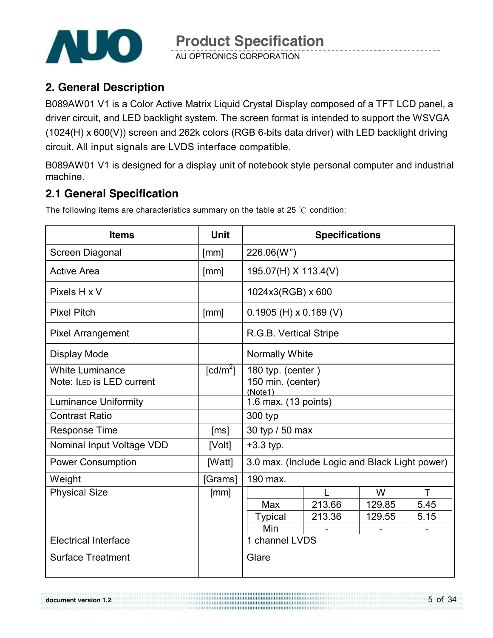

AU OPTRONICS CORPORATION

### **2. General Description**

B089AW01 V1 is a Color Active Matrix Liquid Crystal Display composed of a TFT LCD panel, a driver circuit, and LED backlight system. The screen format is intended to support the WSVGA (1024(H) x 600(V)) screen and 262k colors (RGB 6-bits data driver) with LED backlight driving circuit. All input signals are LVDS interface compatible.

B089AW01 V1 is designed for a display unit of notebook style personal computer and industrial machine.

### **2.1 General Specification**

The following items are characteristics summary on the table at 25 ℃ condition:

| <b>Items</b>                                        | <b>Unit</b>          | <b>Specifications</b>                             |        |        |      |  |
|-----------------------------------------------------|----------------------|---------------------------------------------------|--------|--------|------|--|
| Screen Diagonal                                     | [mm]                 | 226.06(W")                                        |        |        |      |  |
| <b>Active Area</b>                                  | [mm]                 | 195.07(H) X 113.4(V)                              |        |        |      |  |
| Pixels H x V                                        |                      | 1024x3(RGB) x 600                                 |        |        |      |  |
| <b>Pixel Pitch</b>                                  | [mm]                 | $0.1905$ (H) x 0.189 (V)                          |        |        |      |  |
| <b>Pixel Arrangement</b>                            |                      | R.G.B. Vertical Stripe                            |        |        |      |  |
| Display Mode                                        |                      | Normally White                                    |        |        |      |  |
| <b>White Luminance</b><br>Note: ILED IS LED current | [cd/m <sup>2</sup> ] | 180 typ. (center)<br>150 min. (center)<br>(Note1) |        |        |      |  |
| <b>Luminance Uniformity</b>                         |                      | 1.6 max. (13 points)                              |        |        |      |  |
| <b>Contrast Ratio</b>                               |                      | 300 typ                                           |        |        |      |  |
| <b>Response Time</b>                                | [ms]                 | 30 typ / 50 max                                   |        |        |      |  |
| Nominal Input Voltage VDD                           | [Volt]               | $+3.3$ typ.                                       |        |        |      |  |
| <b>Power Consumption</b>                            | [Watt]               | 3.0 max. (Include Logic and Black Light power)    |        |        |      |  |
| Weight                                              | [Grams]              | 190 max.                                          |        |        |      |  |
| <b>Physical Size</b>                                | [mm]                 |                                                   |        | W      | т    |  |
|                                                     |                      | Max                                               | 213.66 | 129.85 | 5.45 |  |
|                                                     |                      | <b>Typical</b>                                    | 213.36 | 129.55 | 5.15 |  |
|                                                     |                      | Min                                               |        |        |      |  |
| <b>Electrical Interface</b>                         |                      | 1 channel LVDS                                    |        |        |      |  |
| <b>Surface Treatment</b>                            |                      | Glare                                             |        |        |      |  |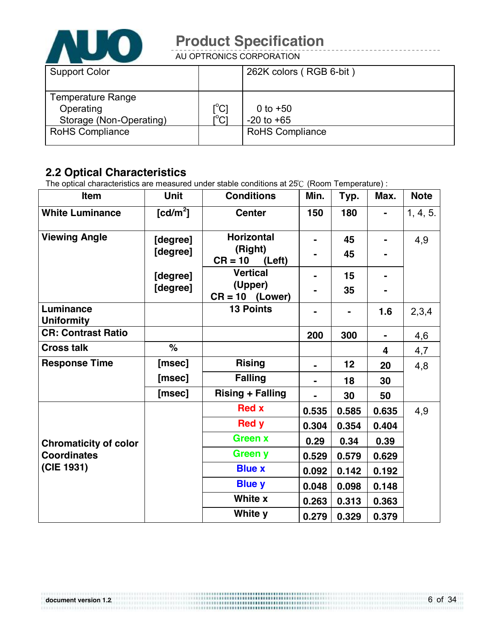

AU OPTRONICS CORPORATION

| <b>Support Color</b>     |                                    | 262K colors (RGB 6-bit) |
|--------------------------|------------------------------------|-------------------------|
| <b>Temperature Range</b> |                                    |                         |
|                          |                                    |                         |
| Operating                | $\mathop{\rm [^{\circ}C}\nolimits$ | 0 to $+50$              |
| Storage (Non-Operating)  | $\mathsf{I}^{\circ}\mathsf{C}$     | $-20$ to $+65$          |
| <b>RoHS Compliance</b>   |                                    | <b>RoHS Compliance</b>  |
|                          |                                    |                         |

### **2.2 Optical Characteristics**

The optical characteristics are measured under stable conditions at 25℃ (Room Temperature) :

| Item                           | <b>Unit</b>                         | <b>Conditions</b>                                   | Min.  | Typ.     | Max.           | <b>Note</b> |
|--------------------------------|-------------------------------------|-----------------------------------------------------|-------|----------|----------------|-------------|
| <b>White Luminance</b>         | $\lceil$ cd/m <sup>2</sup> $\rceil$ | <b>Center</b>                                       | 150   | 180      |                | 1, 4, 5.    |
| <b>Viewing Angle</b>           | [degree]<br>[degree]                | <b>Horizontal</b><br>(Right)<br>$CR = 10$<br>(Left) |       | 45<br>45 |                | 4,9         |
|                                | [degree]<br>[degree]                | <b>Vertical</b><br>(Upper)<br>$CR = 10$ (Lower)     |       | 15<br>35 |                |             |
| Luminance<br><b>Uniformity</b> |                                     | <b>13 Points</b>                                    |       |          | 1.6            | 2,3,4       |
| <b>CR: Contrast Ratio</b>      |                                     |                                                     | 200   | 300      | $\blacksquare$ | 4,6         |
| <b>Cross talk</b>              | $\%$                                |                                                     |       |          | 4              | 4,7         |
| <b>Response Time</b>           | [msec]                              | <b>Rising</b>                                       |       | 12       | 20             | 4,8         |
|                                | [msec]                              | <b>Falling</b>                                      |       | 18       | 30             |             |
|                                | [msec]                              | <b>Rising + Falling</b>                             |       | 30       | 50             |             |
|                                |                                     | <b>Red x</b>                                        | 0.535 | 0.585    | 0.635          | 4,9         |
|                                |                                     | <b>Red y</b>                                        | 0.304 | 0.354    | 0.404          |             |
| <b>Chromaticity of color</b>   |                                     | <b>Green x</b>                                      | 0.29  | 0.34     | 0.39           |             |
| <b>Coordinates</b>             |                                     | Green y                                             | 0.529 | 0.579    | 0.629          |             |
| (CIE 1931)                     |                                     | <b>Blue x</b>                                       | 0.092 | 0.142    | 0.192          |             |
|                                |                                     | <b>Blue y</b>                                       | 0.048 | 0.098    | 0.148          |             |
|                                |                                     | White x                                             | 0.263 | 0.313    | 0.363          |             |
|                                |                                     | White y                                             | 0.279 | 0.329    | 0.379          |             |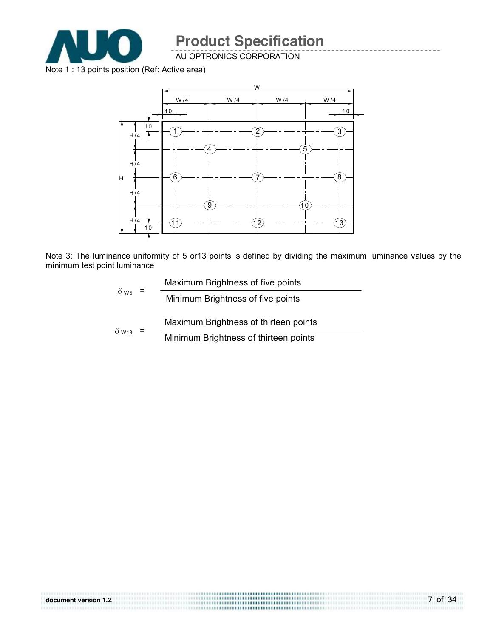

AU OPTRONICS CORPORATION

Note 1 : 13 points position (Ref: Active area)



Note 3: The luminance uniformity of 5 or13 points is defined by dividing the maximum luminance values by the minimum test point luminance

|                         | Maximum Brightness of five points     |
|-------------------------|---------------------------------------|
| $\delta$ w <sub>5</sub> | Minimum Brightness of five points     |
|                         | Maximum Brightness of thirteen points |
| $\delta$ W13            | Minimum Brightness of thirteen points |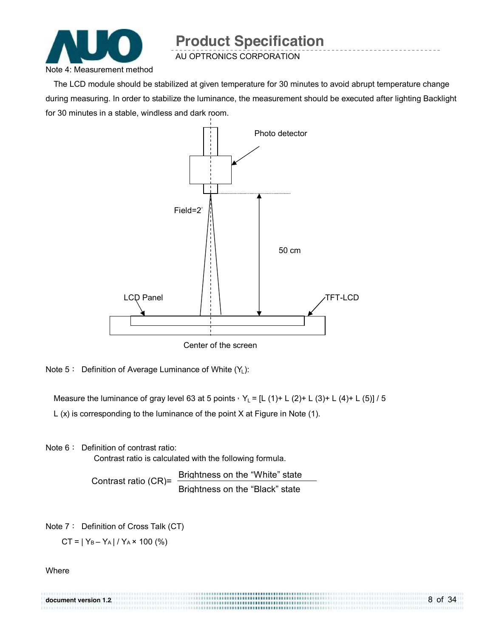

AU OPTRONICS CORPORATION

The LCD module should be stabilized at given temperature for 30 minutes to avoid abrupt temperature change during measuring. In order to stabilize the luminance, the measurement should be executed after lighting Backlight for 30 minutes in a stable, windless and dark room.



Center of the screen

Note 5: Definition of Average Luminance of White (Y<sub>L</sub>):

Measure the luminance of gray level 63 at 5 points,  $Y_L = [L (1) + L (2) + L (3) + L (4) + L (5)]$  / 5

L (x) is corresponding to the luminance of the point X at Figure in Note (1).

Note 6: Definition of contrast ratio:

Contrast ratio is calculated with the following formula.

Contrast ratio (CR)= Brightness on the "White" state Brightness on the "Black" state

Note 7: Definition of Cross Talk (CT)

 $CT = |Y_B - Y_A| / Y_A \times 100$  (%)

**Where** 

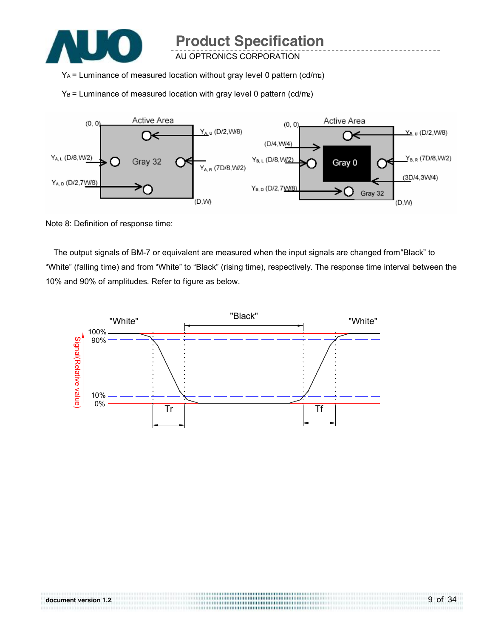

AU OPTRONICS CORPORATION

YA = Luminance of measured location without gray level 0 pattern (cd/m2)

 $Y_B$  = Luminance of measured location with gray level 0 pattern (cd/m2)



Note 8: Definition of response time:

The output signals of BM-7 or equivalent are measured when the input signals are changed from "Black" to "White" (falling time) and from "White" to "Black" (rising time), respectively. The response time interval between the 10% and 90% of amplitudes. Refer to figure as below.

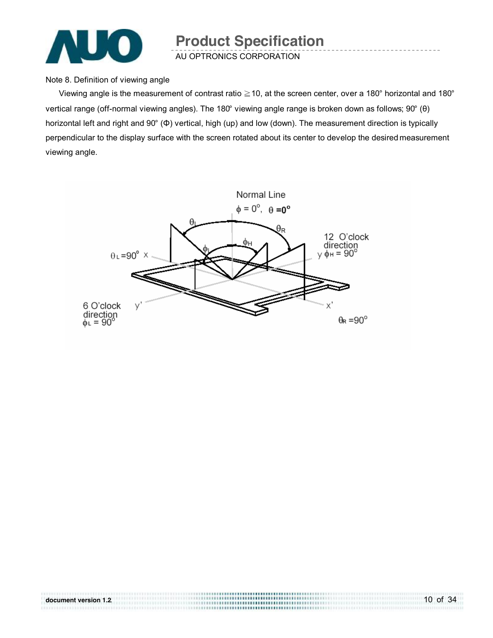

Note 8. Definition of viewing angle

Viewing angle is the measurement of contrast ratio ≧10, at the screen center, over a 180° horizontal and 180° vertical range (off-normal viewing angles). The 180° viewing angle range is broken down as follows; 90° (θ) horizontal left and right and 90° (Φ) vertical, high (up) and low (down). The measurement direction is typically perpendicular to the display surface with the screen rotated about its center to develop the desired measurement viewing angle.



10 of 34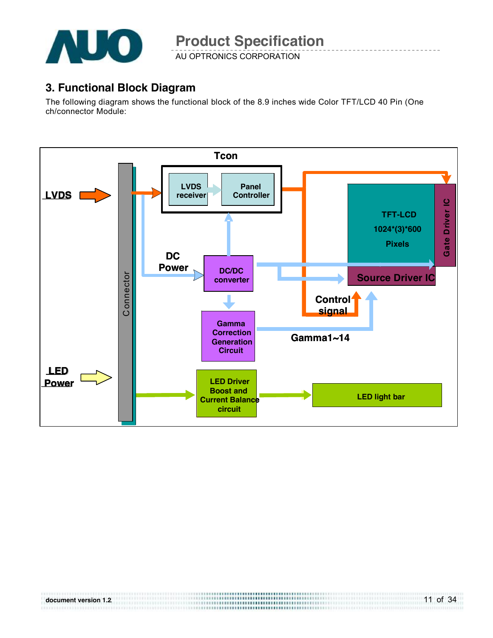

AU OPTRONICS CORPORATION

### **3. Functional Block Diagram**

The following diagram shows the functional block of the 8.9 inches wide Color TFT/LCD 40 Pin (One ch/connector Module:

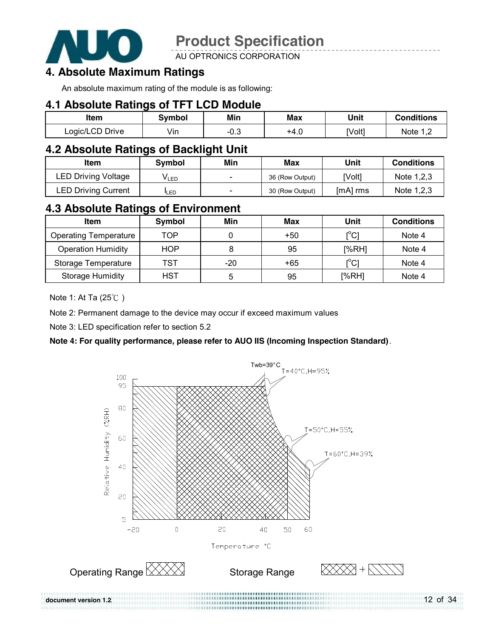

AU OPTRONICS CORPORATION

### **4. Absolute Maximum Ratings**

An absolute maximum rating of the module is as following:

#### **4.1 Absolute Ratings of TFT LCD Module**

| ltem            | symbol | Min    | Max  | Unit   | Conditions |
|-----------------|--------|--------|------|--------|------------|
| Logic/LCD Drive | Vin    | $-0.3$ | +4.0 | [Volt] | Note 1 2   |

### **4.2 Absolute Ratings of Backlight Unit**

| Item                       | Svmbol      | Min                      | Max             | Unit       | <b>Conditions</b> |
|----------------------------|-------------|--------------------------|-----------------|------------|-------------------|
| LED Driving Voltage        | VLED        |                          | 36 (Row Output) | [Volt]     | Note 1,2,3        |
| <b>LED Driving Current</b> | <b>ILED</b> | $\overline{\phantom{0}}$ | 30 (Row Output) | $[mA]$ rms | Note 1,2,3        |

### **4.3 Absolute Ratings of Environment**

| <b>Item</b>                  | Symbol     | Min | Max   | Unit                                    | <b>Conditions</b> |
|------------------------------|------------|-----|-------|-----------------------------------------|-------------------|
| <b>Operating Temperature</b> | TOP        |     | $+50$ | $\mathsf{I}^\circ\mathsf{C} \mathsf{I}$ | Note 4            |
| <b>Operation Humidity</b>    | <b>HOP</b> |     | 95    | [%RH]                                   | Note 4            |
| Storage Temperature          | TST        | -20 | $+65$ | [°C]                                    | Note 4            |
| <b>Storage Humidity</b>      | HST        | b   | 95    | [%RH]                                   | Note 4            |

Note 1: At Ta (25℃ )

Note 2: Permanent damage to the device may occur if exceed maximum values

Note 3: LED specification refer to section 5.2

#### **Note 4: For quality performance, please refer to AUO IIS (Incoming Inspection Standard)**.



12 of 34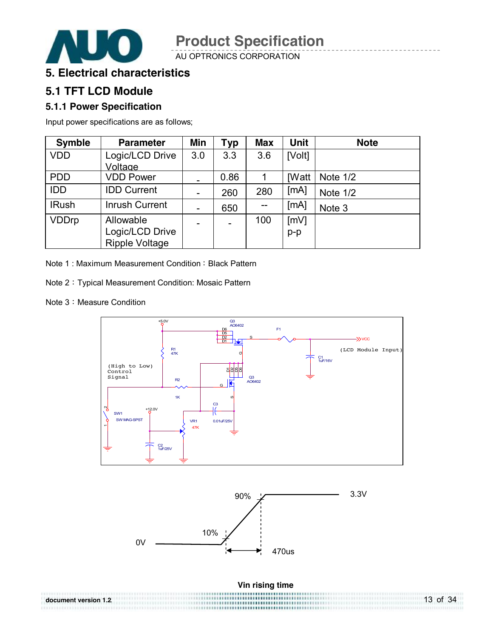

AU OPTRONICS CORPORATION

### **5. Electrical characteristics**

### **5.1 TFT LCD Module**

#### **5.1.1 Power Specification**

Input power specifications are as follows;

| <b>Symble</b> | <b>Parameter</b>      | Min                          | Typ                      | <b>Max</b> | <b>Unit</b>  | <b>Note</b> |
|---------------|-----------------------|------------------------------|--------------------------|------------|--------------|-------------|
| <b>VDD</b>    | Logic/LCD Drive       | 3.0                          | 3.3                      | 3.6        | [Volt]       |             |
|               | Voltage               |                              |                          |            |              |             |
| <b>PDD</b>    | <b>VDD Power</b>      | $\qquad \qquad$              | 0.86                     |            | <b>IWatt</b> | Note 1/2    |
| <b>IDD</b>    | <b>IDD Current</b>    | $\qquad \qquad \blacksquare$ | 260                      | 280        | [mA]         | Note 1/2    |
| <b>IRush</b>  | <b>Inrush Current</b> | $\overline{\phantom{a}}$     | 650                      | --         | [mA]         | Note 3      |
| <b>VDDrp</b>  | Allowable             | $\overline{\phantom{0}}$     | $\overline{\phantom{0}}$ | 100        | [mV]         |             |
|               | Logic/LCD Drive       |                              |                          |            | $p-p$        |             |
|               | <b>Ripple Voltage</b> |                              |                          |            |              |             |

Note 1: Maximum Measurement Condition: Black Pattern

Note 2:Typical Measurement Condition: Mosaic Pattern

Note 3: Measure Condition

**document version 1.2**.

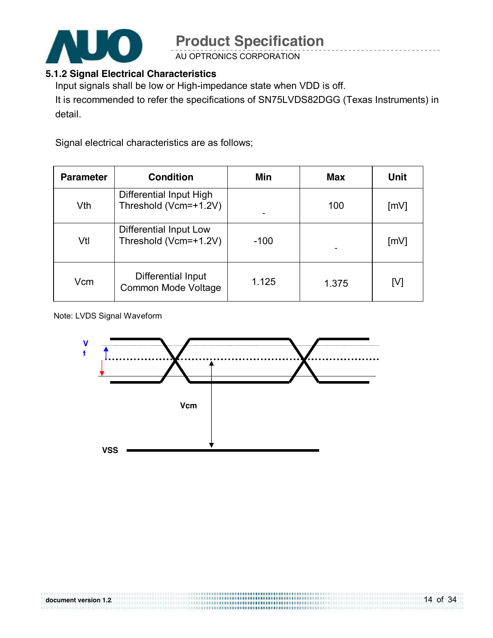

AU OPTRONICS CORPORATION

#### **5.1.2 Signal Electrical Characteristics**

Input signals shall be low or High-impedance state when VDD is off.

It is recommended to refer the specifications of SN75LVDS82DGG (Texas Instruments) in detail.

Signal electrical characteristics are as follows;

| <b>Parameter</b> | <b>Condition</b>                                 | Min    | <b>Max</b> | <b>Unit</b>        |
|------------------|--------------------------------------------------|--------|------------|--------------------|
| Vth              | Differential Input High<br>Threshold (Vcm=+1.2V) |        | 100        | $\lceil mV \rceil$ |
| Vtl              | Differential Input Low<br>Threshold (Vcm=+1.2V)  | $-100$ |            | $\lceil mV \rceil$ |
| Vcm              | Differential Input<br>Common Mode Voltage        | 1.125  | 1.375      | [V]                |

#### Note: LVDS Signal Waveform

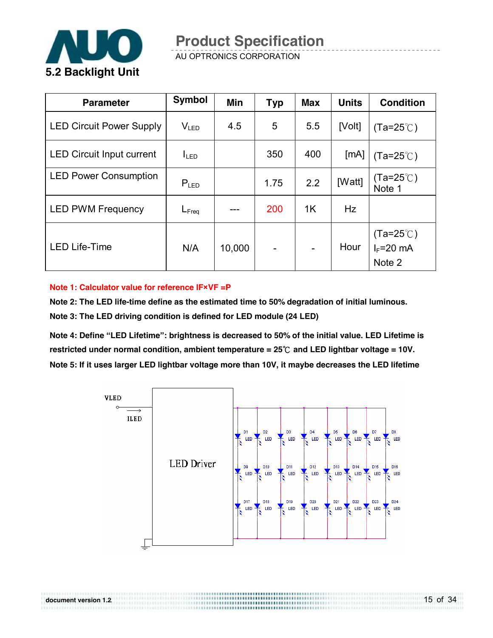

**document version 1.2**.

AU OPTRONICS CORPORATION

| <b>Parameter</b>                 | <b>Symbol</b>     | Min    | <b>Typ</b> | <b>Max</b> | <b>Units</b> | <b>Condition</b>                              |
|----------------------------------|-------------------|--------|------------|------------|--------------|-----------------------------------------------|
| <b>LED Circuit Power Supply</b>  | $V_{LED}$         | 4.5    | 5          | 5.5        | [Volt]       | $(Ta=25^{\circ}C)$                            |
| <b>LED Circuit Input current</b> | I <sub>LED</sub>  |        | 350        | 400        | [mA]         | $(Ta=25^{\circ}C)$                            |
| <b>LED Power Consumption</b>     | $P_{LED}$         |        | 1.75       | 2.2        | [Watt]       | $(Ta=25^{\circ}C)$<br>Note 1                  |
| <b>LED PWM Frequency</b>         | $L_{\text{Freq}}$ |        | 200        | 1K         | Hz           |                                               |
| <b>LED Life-Time</b>             | N/A               | 10,000 |            |            | Hour         | $(Ta=25^{\circ}C)$<br>$I_F = 20$ mA<br>Note 2 |

#### **Note 1: Calculator value for reference IF×VF =P**

**Note 2: The LED life-time define as the estimated time to 50% degradation of initial luminous. Note 3: The LED driving condition is defined for LED module (24 LED)** 

**Note 4: Define "LED Lifetime": brightness is decreased to 50% of the initial value. LED Lifetime is restricted under normal condition, ambient temperature = 25**℃ **and LED lightbar voltage = 10V. Note 5: If it uses larger LED lightbar voltage more than 10V, it maybe decreases the LED lifetime** 

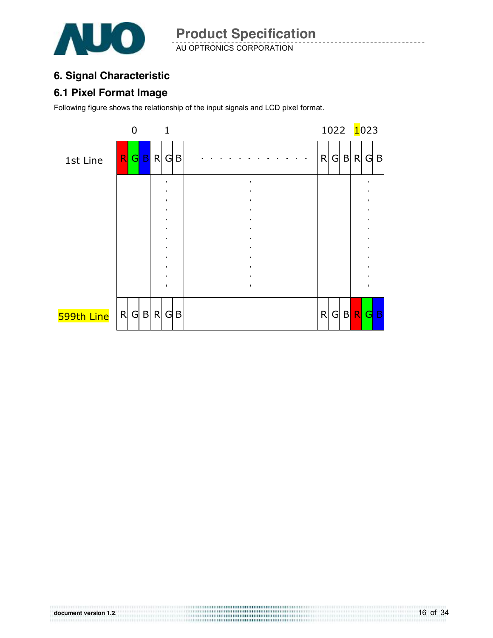

### **6. Signal Characteristic**

#### **6.1 Pixel Format Image**

Following figure shows the relationship of the input signals and LCD pixel format.



16 of 34 **document version 1.2**.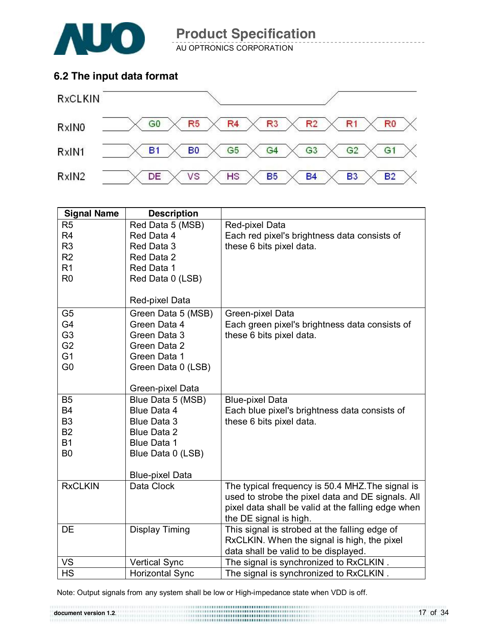

AU OPTRONICS CORPORATION

### **6.2 The input data format**



| <b>Signal Name</b>          | <b>Description</b>                       |                                                    |
|-----------------------------|------------------------------------------|----------------------------------------------------|
| R <sub>5</sub>              | Red Data 5 (MSB)                         | Red-pixel Data                                     |
| R <sub>4</sub>              | Red Data 4                               | Each red pixel's brightness data consists of       |
| R <sub>3</sub>              | Red Data 3                               | these 6 bits pixel data.                           |
| R2                          | Red Data 2                               |                                                    |
| R <sub>1</sub>              | Red Data 1                               |                                                    |
| R <sub>0</sub>              | Red Data 0 (LSB)                         |                                                    |
|                             |                                          |                                                    |
|                             | Red-pixel Data                           |                                                    |
| G <sub>5</sub>              | Green Data 5 (MSB)                       | Green-pixel Data                                   |
| G <sub>4</sub>              | Green Data 4                             | Each green pixel's brightness data consists of     |
| G <sub>3</sub>              | Green Data 3                             | these 6 bits pixel data.                           |
| G <sub>2</sub>              | Green Data 2                             |                                                    |
| G <sub>1</sub>              | Green Data 1                             |                                                    |
| G <sub>0</sub>              | Green Data 0 (LSB)                       |                                                    |
|                             |                                          |                                                    |
|                             | Green-pixel Data                         |                                                    |
| <b>B5</b>                   | Blue Data 5 (MSB)                        | <b>Blue-pixel Data</b>                             |
| <b>B4</b>                   | Blue Data 4                              | Each blue pixel's brightness data consists of      |
| B <sub>3</sub><br><b>B2</b> | <b>Blue Data 3</b><br><b>Blue Data 2</b> | these 6 bits pixel data.                           |
| <b>B1</b>                   | Blue Data 1                              |                                                    |
| <b>B0</b>                   | Blue Data 0 (LSB)                        |                                                    |
|                             |                                          |                                                    |
|                             | <b>Blue-pixel Data</b>                   |                                                    |
| <b>RxCLKIN</b>              | Data Clock                               | The typical frequency is 50.4 MHZ. The signal is   |
|                             |                                          | used to strobe the pixel data and DE signals. All  |
|                             |                                          | pixel data shall be valid at the falling edge when |
|                             |                                          | the DE signal is high.                             |
| DE                          | Display Timing                           | This signal is strobed at the falling edge of      |
|                             |                                          | RxCLKIN. When the signal is high, the pixel        |
|                             |                                          | data shall be valid to be displayed.               |
| VS                          | <b>Vertical Sync</b>                     | The signal is synchronized to RxCLKIN.             |
| <b>HS</b>                   | <b>Horizontal Sync</b>                   | The signal is synchronized to RxCLKIN.             |

Note: Output signals from any system shall be low or High-impedance state when VDD is off.

17 of 34 **document version 1.2**.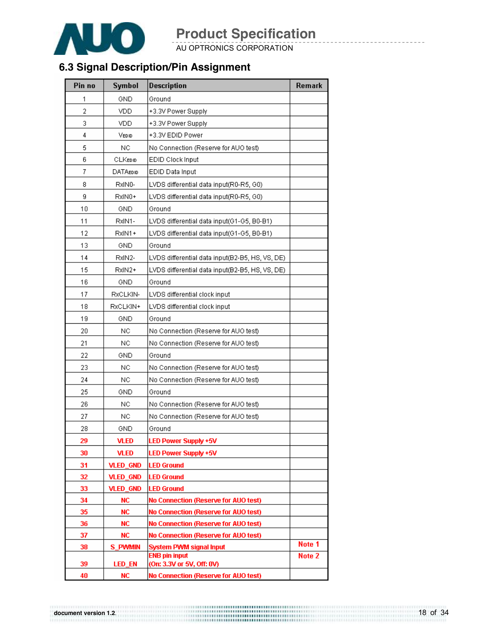

AU OPTRONICS CORPORATION

### **6.3 Signal Description/Pin Assignment**

| Pin no | Symbol          | <b>Description</b>                              | Remark |
|--------|-----------------|-------------------------------------------------|--------|
| 1      | GND             | Ground                                          |        |
| 2      | VDD             | +3.3V Power Supply                              |        |
| 3      | VDD             | +3.3V Power Supply                              |        |
| 4      | VEDID           | +3.3V EDID Power                                |        |
| 5      | <b>NC</b>       | No Connection (Reserve for AUO test)            |        |
| 6      | CLKEDID         | EDID Clock Input                                |        |
| 7      | <b>DATAEDID</b> | EDID Data Input                                 |        |
| 8      | RxIN0-          | LVDS differential data input(R0-R5, G0)         |        |
| 9      | RxIN0+          | LVDS differential data input(R0-R5, G0)         |        |
| 10     | <b>GND</b>      | Ground                                          |        |
| 11     | RxIN1-          | LVDS differential data input(G1-G5, B0-B1)      |        |
| 12     | RxIN1+          | LVDS differential data input(G1-G5, B0-B1)      |        |
| 13     | GND             | Ground                                          |        |
| 14     | RxIN2-          | LVDS differential data input(B2-B5, HS, VS, DE) |        |
| 15     | RxIN2+          | LVDS differential data input(B2-B5, HS, VS, DE) |        |
| 16     | GND             | Ground                                          |        |
| 17     | RxCLKIN-        | LVDS differential clock input                   |        |
| 18     | RxCLKIN+        | LVDS differential clock input                   |        |
| 19     | GND             | Ground                                          |        |
| 20     | <b>NC</b>       | No Connection (Reserve for AUO test)            |        |
| 21     | NC              | No Connection (Reserve for AUO test)            |        |
| 22     | GND             | Ground                                          |        |
| 23     | NC              | No Connection (Reserve for AUO test)            |        |
| 24     | NC.             | No Connection (Reserve for AUO test)            |        |
| 25     | GND             | Ground                                          |        |
| 26     | NC.             | No Connection (Reserve for AUO test)            |        |
| 27     | NC.             | No Connection (Reserve for AUO test)            |        |
| 28     | GND             | Ground                                          |        |
| 29     | VLED            | LED Power Supply +5V                            |        |
| 30     | <b>VLED</b>     | LED Power Supply +5V                            |        |
| 31     | <b>VLED_GND</b> | <b>LED Ground</b>                               |        |
| 32     | <b>VLED_GND</b> | <b>LED Ground</b>                               |        |
| 33     | <b>VLED_GND</b> | <b>LED Ground</b>                               |        |
| 34     | <b>NC</b>       | No Connection (Reserve for AUO test)            |        |
| 35     | <b>NC</b>       | No Connection (Reserve for AUO test)            |        |
| 36     | NC.             | No Connection (Reserve for AUO test)            |        |
| 37     | <b>NC</b>       | No Connection (Reserve for AUO test)            | Note 1 |
| 38     | S PWMIN         | System PWM signal Input<br><b>ENB pin input</b> | Note 2 |
| 39     | <b>LED_EN</b>   | (On: 3.3V or 5V, Off: 0V)                       |        |
| 40     | <b>NC</b>       | No Connection (Reserve for AUO test)            |        |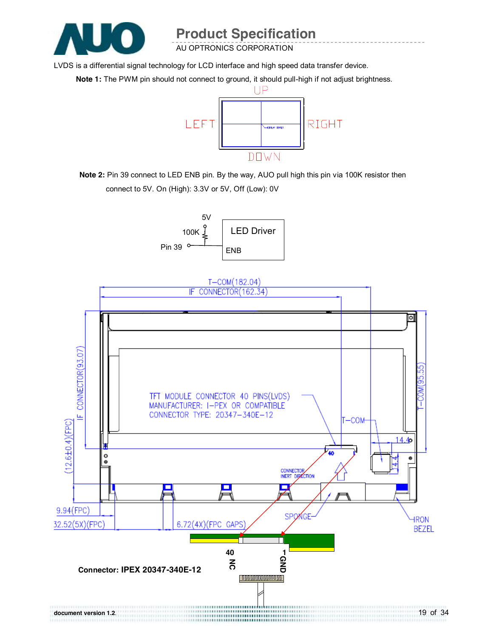

AU OPTRONICS CORPORATION

LVDS is a differential signal technology for LCD interface and high speed data transfer device.

**Note 1:** The PWM pin should not connect to ground, it should pull-high if not adjust brightness.



**Note 2:** Pin 39 connect to LED ENB pin. By the way, AUO pull high this pin via 100K resistor then connect to 5V. On (High): 3.3V or 5V, Off (Low): 0V



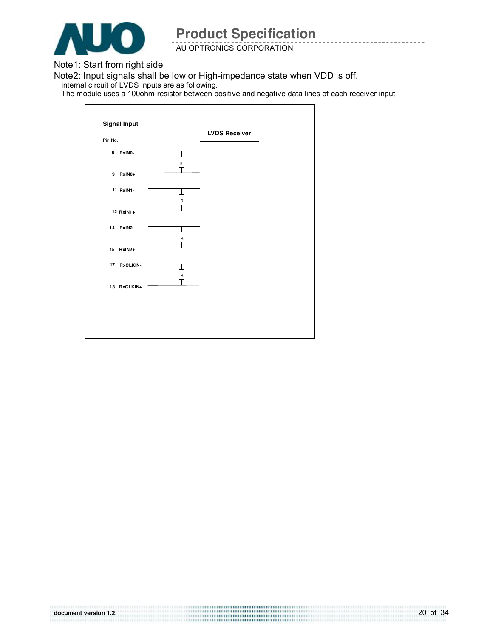

AU OPTRONICS CORPORATION

Note1: Start from right side

Note2: Input signals shall be low or High-impedance state when VDD is off. internal circuit of LVDS inputs are as following.

The module uses a 100ohm resistor between positive and negative data lines of each receiver input

|         |             |   | <b>LVDS Receiver</b> |  |
|---------|-------------|---|----------------------|--|
| Pin No. |             |   |                      |  |
|         | 8 RxINO-    | R |                      |  |
|         | 9 RxIN0+    |   |                      |  |
|         | 11 RxIN1-   | R |                      |  |
|         | 12 RxIN1+   |   |                      |  |
|         | 14 RxIN2-   | R |                      |  |
|         | 15 RxIN2+   |   |                      |  |
|         | 17 RxCLKIN- | R |                      |  |
|         | 18 RxCLKIN+ |   |                      |  |
|         |             |   |                      |  |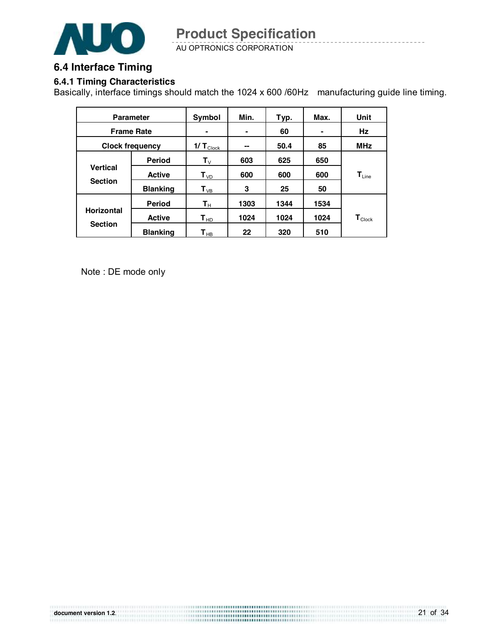

AU OPTRONICS CORPORATION

#### **6.4 Interface Timing**

#### **6.4.1 Timing Characteristics**

Basically, interface timings should match the 1024 x 600 /60Hz manufacturing guide line timing.

| <b>Parameter</b>                  |                 | Symbol                     | Min. | Typ. | Max. | Unit                         |  |
|-----------------------------------|-----------------|----------------------------|------|------|------|------------------------------|--|
| <b>Frame Rate</b>                 |                 |                            | ۰    | 60   | ۰    | Hz                           |  |
| <b>Clock frequency</b>            |                 | $1/T$ Clock                | --   | 50.4 | 85   | <b>MHz</b>                   |  |
|                                   | <b>Period</b>   | $\mathbf{T}_{\vee}$        | 603  | 625  | 650  |                              |  |
| <b>Vertical</b><br><b>Section</b> | <b>Active</b>   | $\mathbf{T}_{\text{VD}}$   | 600  | 600  | 600  | $\mathbf{T}_{\mathsf{Line}}$ |  |
|                                   | <b>Blanking</b> | $\mathbf{T}_{\mathsf{VB}}$ | 3    | 25   | 50   |                              |  |
|                                   | <b>Period</b>   | $\mathsf{T}_\mathsf{H}$    | 1303 | 1344 | 1534 |                              |  |
| <b>Horizontal</b>                 | <b>Active</b>   | $\mathbf{T}_{HD}$          | 1024 | 1024 | 1024 | $\mathbf{T}_{\text{Clock}}$  |  |
| <b>Section</b>                    | <b>Blanking</b> | $\mathbf{T}_{\mathsf{HB}}$ | 22   | 320  | 510  |                              |  |

Note : DE mode only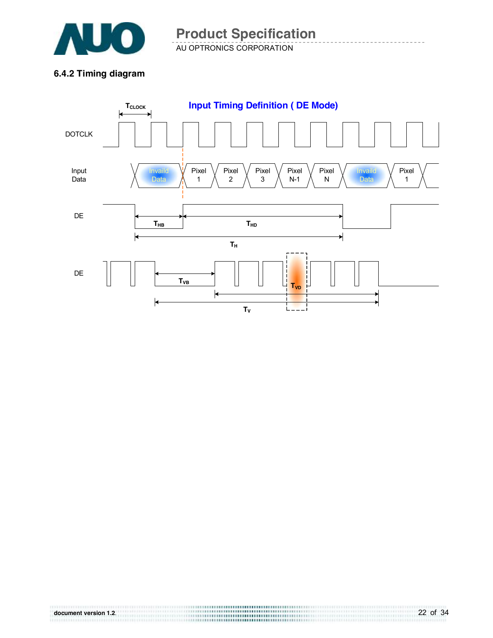

AU OPTRONICS CORPORATION

#### **6.4.2 Timing diagram**

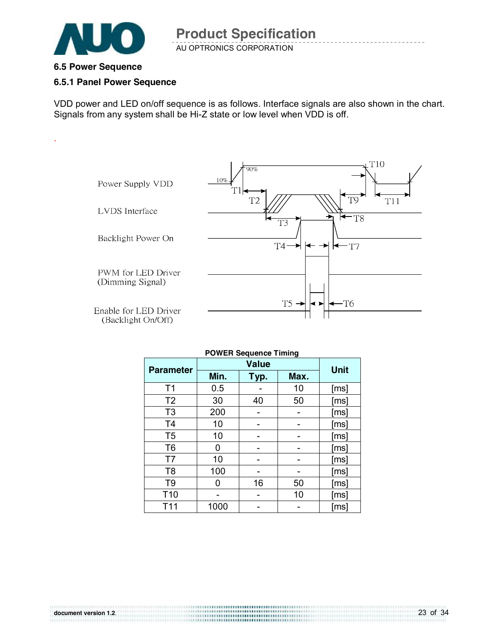

#### **6.5 Power Sequence**

.

#### **6.5.1 Panel Power Sequence**

VDD power and LED on/off sequence is as follows. Interface signals are also shown in the chart. Signals from any system shall be Hi-Z state or low level when VDD is off.



| <b>POWER Sequence Timing</b> |              |             |      |      |  |  |  |
|------------------------------|--------------|-------------|------|------|--|--|--|
| <b>Parameter</b>             |              | <b>Unit</b> |      |      |  |  |  |
|                              | Min.<br>Typ. |             | Max. |      |  |  |  |
| T <sub>1</sub>               | 0.5          |             | 10   | [ms] |  |  |  |
| T <sub>2</sub>               | 30           | 40          | 50   | [ms] |  |  |  |
| T <sub>3</sub>               | 200          |             |      | [ms] |  |  |  |
| T <sub>4</sub>               | 10           |             |      | [ms] |  |  |  |
| T <sub>5</sub>               | 10           |             |      | [ms] |  |  |  |
| T <sub>6</sub>               | 0            |             |      | [ms] |  |  |  |
| T7                           | 10           |             |      | [ms] |  |  |  |
| T <sub>8</sub>               | 100          |             |      | [ms] |  |  |  |
| T9                           | O            | 16          | 50   | [ms] |  |  |  |
| T <sub>10</sub>              |              |             | 10   | [ms] |  |  |  |
| T <sub>11</sub>              | 1000         |             |      | [ms] |  |  |  |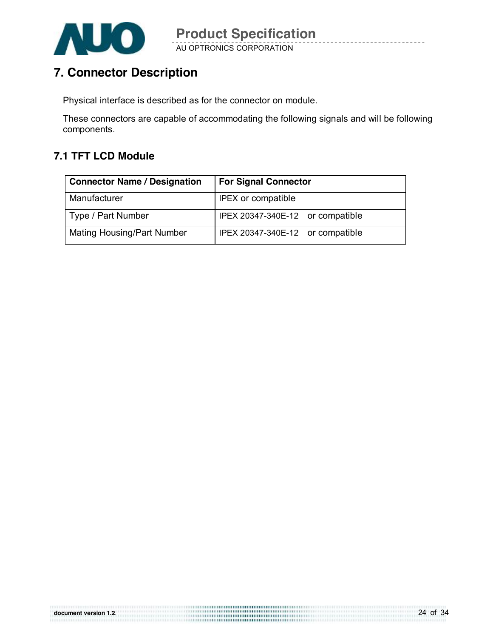

### **7. Connector Description**

Physical interface is described as for the connector on module.

**document version 1.2**.

These connectors are capable of accommodating the following signals and will be following components.

### **7.1 TFT LCD Module**

| <b>Connector Name / Designation</b> | <b>For Signal Connector</b>      |
|-------------------------------------|----------------------------------|
| Manufacturer                        | IPEX or compatible               |
| Type / Part Number                  | IPEX 20347-340E-12 or compatible |
| Mating Housing/Part Number          | IPEX 20347-340E-12 or compatible |

24 of 34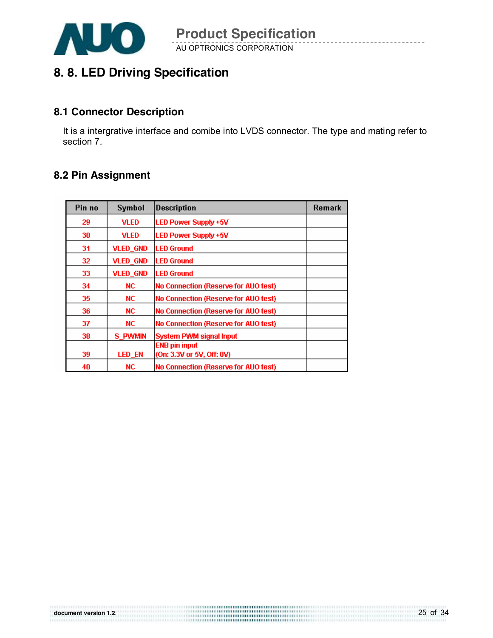

### **8. 8. LED Driving Specification**

#### **8.1 Connector Description**

It is a intergrative interface and comibe into LVDS connector. The type and mating refer to section 7.

### **8.2 Pin Assignment**

| Pin no | Symbol          | <b>Description</b>                          | Remark |
|--------|-----------------|---------------------------------------------|--------|
| 29     | <b>VLED</b>     | <b>LED Power Supply +5V</b>                 |        |
| 30     | <b>VLED</b>     | <b>LED Power Supply +5V</b>                 |        |
| 31     | <b>VLED_GND</b> | <b>LED Ground</b>                           |        |
| 32     | <b>VLED GND</b> | <b>LED Ground</b>                           |        |
| 33     | <b>VLED_GND</b> | <b>LED Ground</b>                           |        |
| 34     | NC.             | <b>No Connection (Reserve for AUO test)</b> |        |
| 35     | NC.             | No Connection (Reserve for AUO test)        |        |
| 36     | NC.             | <b>No Connection (Reserve for AUO test)</b> |        |
| 37     | NC.             | <b>No Connection (Reserve for AUO test)</b> |        |
| 38     | S PWMIN         | <b>System PWM signal Input</b>              |        |
|        |                 | <b>ENB pin input</b>                        |        |
| 39     | <b>LED_EN</b>   | (On: 3.3V or 5V, Off: 0V)                   |        |
| 40     | NC.             | <b>No Connection (Reserve for AUO test)</b> |        |

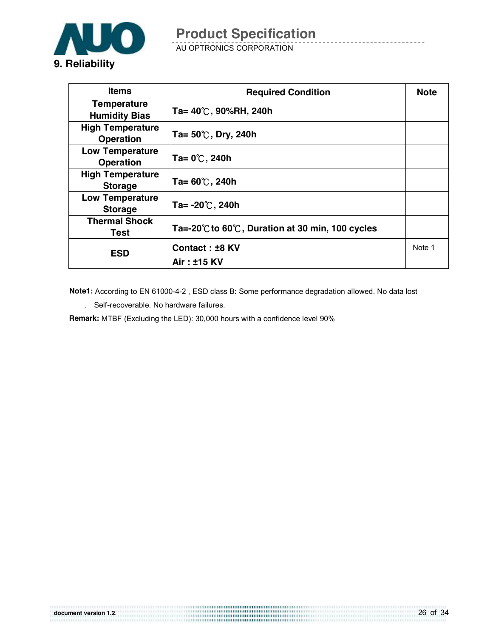

AU OPTRONICS CORPORATION

| <b>Items</b>                                | <b>Required Condition</b>                                            | <b>Note</b> |
|---------------------------------------------|----------------------------------------------------------------------|-------------|
| <b>Temperature</b><br><b>Humidity Bias</b>  | $Ta = 40^{\circ}$ C, 90%RH, 240h                                     |             |
| <b>High Temperature</b><br><b>Operation</b> | Ta= 50℃, Dry, 240h                                                   |             |
| <b>Low Temperature</b><br><b>Operation</b>  | $Ta = 0^\circ\text{C}$ , 240h                                        |             |
| <b>High Temperature</b><br><b>Storage</b>   | Ta= $60^{\circ}$ C, 240h                                             |             |
| <b>Low Temperature</b><br><b>Storage</b>    | $Ta = -20^{\circ}$ C, 240h                                           |             |
| <b>Thermal Shock</b><br>Test                | Ta=-20 $\degree$ C to 60 $\degree$ C, Duration at 30 min, 100 cycles |             |
| <b>ESD</b>                                  | <b>Contact: ±8 KV</b><br>Air: ±15 KV                                 | Note 1      |

 **Note1:** According to EN 61000-4-2 , ESD class B: Some performance degradation allowed. No data lost . Self-recoverable. No hardware failures.

26 of 34

**Remark:** MTBF (Excluding the LED): 30,000 hours with a confidence level 90%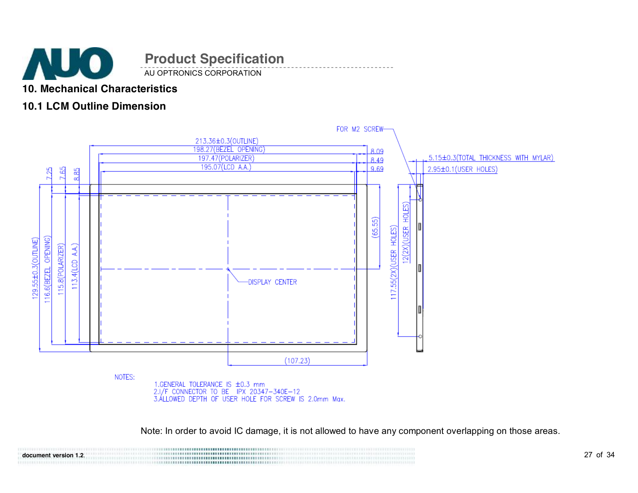

AU OPTRONICS CORPORATION

### **10. Mechanical Characteristics**

### **10.1 LCM Outline Dimension**



Note: In order to avoid IC damage, it is not allowed to have any component overlapping on those areas.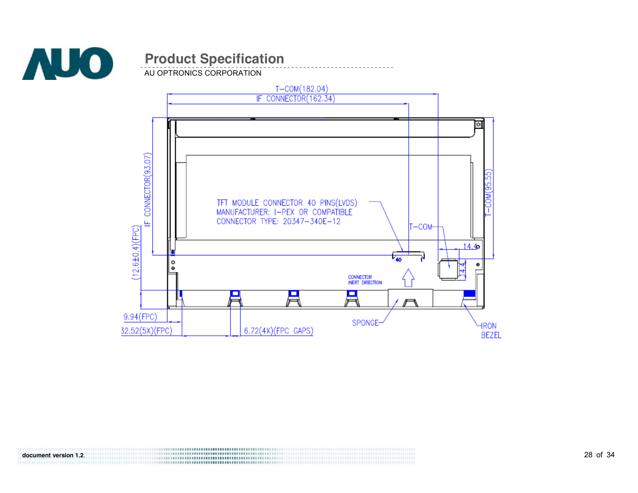

AU OPTRONICS CORPORATION

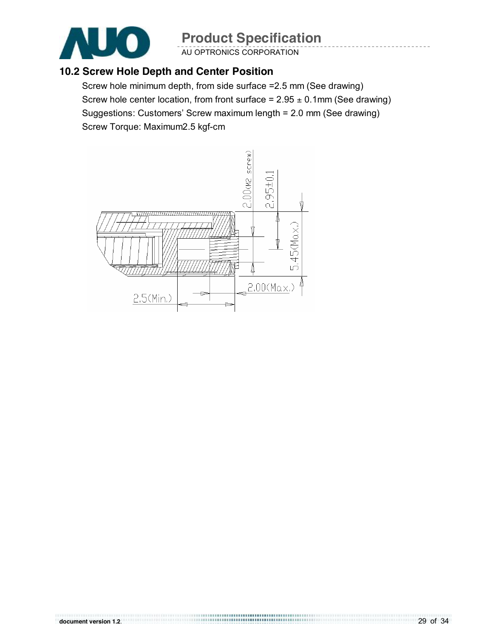

AU OPTRONICS CORPORATION

### **10.2 Screw Hole Depth and Center Position**

Screw hole minimum depth, from side surface =2.5 mm (See drawing) Screw hole center location, from front surface =  $2.95 \pm 0.1$ mm (See drawing) Suggestions: Customers' Screw maximum length = 2.0 mm (See drawing) Screw Torque: Maximum2.5 kgf-cm

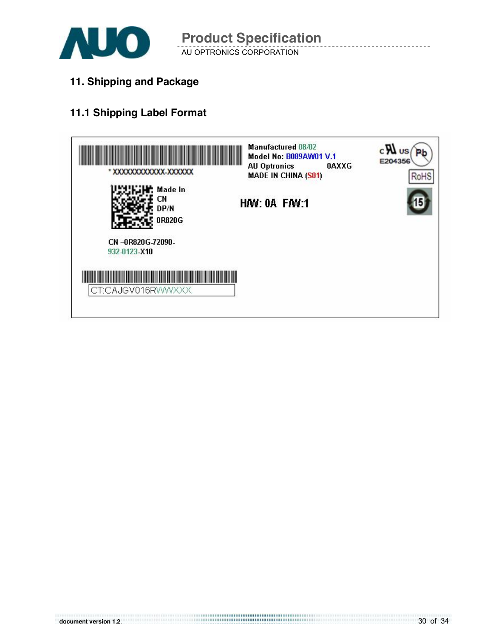

AU OPTRONICS CORPORATION

**11. Shipping and Package**

### **11.1 Shipping Label Format**

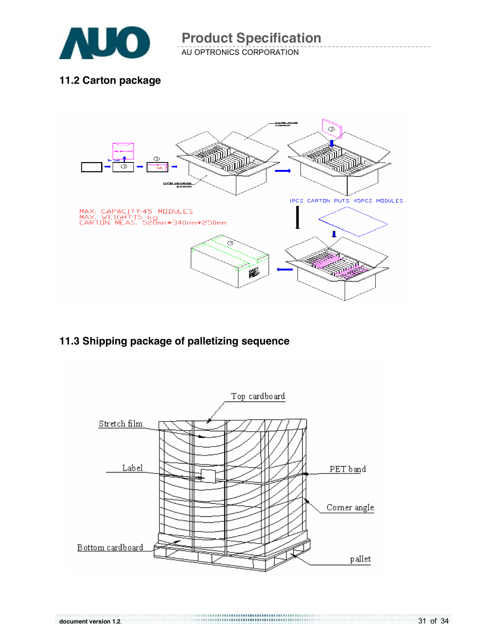

AU OPTRONICS CORPORATION

### **11.2 Carton package**



### **11.3 Shipping package of palletizing sequence**

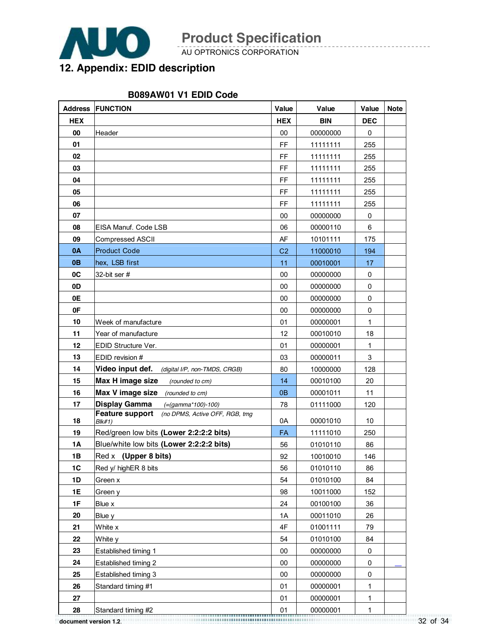

AU OPTRONICS CORPORATION

### **12. Appendix: EDID description**

#### **B089AW01 V1 EDID Code**

|            | <b>Address FUNCTION</b>                                            | Value          | Value      | Value        | <b>Note</b> |
|------------|--------------------------------------------------------------------|----------------|------------|--------------|-------------|
| <b>HEX</b> |                                                                    | <b>HEX</b>     | <b>BIN</b> | <b>DEC</b>   |             |
| 00         | Header                                                             | 00             | 00000000   | 0            |             |
| 01         |                                                                    | FF             | 11111111   | 255          |             |
| 02         |                                                                    | FF             | 11111111   | 255          |             |
| 03         |                                                                    | FF             | 11111111   | 255          |             |
| 04         |                                                                    | FF             | 11111111   | 255          |             |
| 05         |                                                                    | FF             | 11111111   | 255          |             |
| 06         |                                                                    | FF             | 11111111   | 255          |             |
| 07         |                                                                    | 00             | 00000000   | 0            |             |
| 08         | EISA Manuf. Code LSB                                               | 06             | 00000110   | 6            |             |
| 09         | <b>Compressed ASCII</b>                                            | AF             | 10101111   | 175          |             |
| 0A         | <b>Product Code</b>                                                | C <sub>2</sub> | 11000010   | 194          |             |
| 0B         | hex, LSB first                                                     | 11             | 00010001   | 17           |             |
| 0C         | 32-bit ser #                                                       | 00             | 00000000   | $\mathbf 0$  |             |
| 0D         |                                                                    | 00             | 00000000   | 0            |             |
| 0E         |                                                                    | 00             | 00000000   | 0            |             |
| 0F         |                                                                    | 00             | 00000000   | 0            |             |
| 10         | Week of manufacture                                                | 01             | 00000001   | 1            |             |
| 11         | Year of manufacture                                                | 12             | 00010010   | 18           |             |
| 12         | EDID Structure Ver.                                                | 01             | 00000001   | $\mathbf{1}$ |             |
| 13         | EDID revision #                                                    | 03             | 00000011   | 3            |             |
| 14         | Video input def.<br>(digital I/P, non-TMDS, CRGB)                  | 80             | 10000000   | 128          |             |
| 15         | Max H image size<br>(rounded to cm)                                | 14             | 00010100   | 20           |             |
| 16         | Max V image size<br>(rounded to cm)                                | 0 <sub>B</sub> | 00001011   | 11           |             |
| 17         | Display Gamma<br>$( = (gamma * 100) - 100)$                        | 78             | 01111000   | 120          |             |
| 18         | <b>Feature support</b><br>(no DPMS, Active OFF, RGB, tmg<br>Blk#1) | 0A             | 00001010   | 10           |             |
| 19         | Red/green low bits (Lower 2:2:2:2 bits)                            | <b>FA</b>      | 11111010   | 250          |             |
| 1A         | Blue/white low bits (Lower 2:2:2:2 bits)                           | 56             | 01010110   | 86           |             |
| 1B         | Red x (Upper 8 bits)                                               | 92             | 10010010   | 146          |             |
| 1C         | Red y/ highER 8 bits                                               | 56             | 01010110   | 86           |             |
| 1D         | Green x                                                            | 54             | 01010100   | 84           |             |
| 1E         | Green y                                                            | 98             | 10011000   | 152          |             |
| 1F         | Blue x                                                             | 24             | 00100100   | 36           |             |
| 20         | Blue y                                                             | 1A             | 00011010   | 26           |             |
| 21         | White x                                                            | 4F             | 01001111   | 79           |             |
| 22         | White y                                                            | 54             | 01010100   | 84           |             |
| 23         | Established timing 1                                               | 00             | 00000000   | 0            |             |
| 24         | Established timing 2                                               | 00             | 00000000   | $\pmb{0}$    |             |
| 25         | Established timing 3                                               | $00\,$         | 00000000   | 0            |             |
| 26         | Standard timing #1                                                 | 01             | 00000001   | 1            |             |
| 27         |                                                                    | 01             | 00000001   | $\mathbf{1}$ |             |
| 28         | Standard timing #2                                                 | 01             | 00000001   | $\mathbf{1}$ |             |

32 of 34 **document version 1.2**.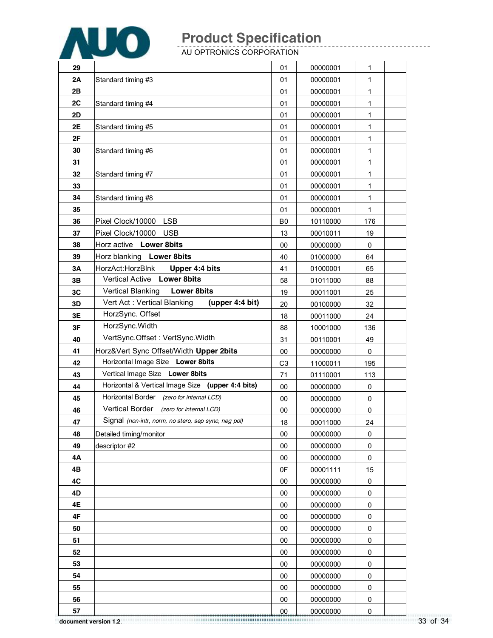

AU OPTRONICS CORPORATION

| 29 |                                                      | 01             | 00000001 | 1            |  |
|----|------------------------------------------------------|----------------|----------|--------------|--|
| 2Α | Standard timing #3                                   | 01             | 00000001 | 1            |  |
| 2B |                                                      | 01             | 00000001 | 1            |  |
| 2C | Standard timing #4                                   | 01             | 00000001 | $\mathbf{1}$ |  |
| 2D |                                                      | 01             | 00000001 | 1            |  |
| 2E | Standard timing #5                                   | 01             | 00000001 | 1            |  |
| 2F |                                                      | 01             | 00000001 | 1            |  |
| 30 | Standard timing #6                                   | 01             | 00000001 | 1            |  |
| 31 |                                                      | 01             | 00000001 | 1            |  |
| 32 | Standard timing #7                                   | 01             | 00000001 | 1            |  |
| 33 |                                                      | 01             | 00000001 | 1            |  |
| 34 | Standard timing #8                                   | 01             | 00000001 | 1            |  |
| 35 |                                                      | 01             | 00000001 | 1            |  |
| 36 | Pixel Clock/10000<br><b>LSB</b>                      | B <sub>0</sub> | 10110000 | 176          |  |
| 37 | Pixel Clock/10000<br><b>USB</b>                      | 13             | 00010011 | 19           |  |
| 38 | Horz active Lower 8bits                              | 00             | 00000000 | $\mathbf 0$  |  |
| 39 | Horz blanking Lower 8bits                            | 40             | 01000000 | 64           |  |
| 3A | HorzAct:HorzBlnk<br>Upper 4:4 bits                   | 41             | 01000001 | 65           |  |
| 3B | Vertical Active Lower 8bits                          | 58             | 01011000 | 88           |  |
| 3C | <b>Vertical Blanking</b><br><b>Lower 8bits</b>       | 19             | 00011001 | 25           |  |
| 3D | Vert Act: Vertical Blanking<br>(upper 4:4 bit)       | 20             | 00100000 | 32           |  |
| 3E | HorzSync. Offset                                     | 18             | 00011000 | 24           |  |
| 3F | HorzSync. Width                                      | 88             | 10001000 | 136          |  |
| 40 | VertSync.Offset: VertSync.Width                      | 31             | 00110001 | 49           |  |
| 41 | Horz‖ Sync Offset/Width Upper 2bits                  | 00             | 00000000 | $\mathbf 0$  |  |
| 42 | Horizontal Image Size Lower 8bits                    | C <sub>3</sub> | 11000011 | 195          |  |
| 43 | Vertical Image Size Lower 8bits                      | 71             | 01110001 | 113          |  |
| 44 | Horizontal & Vertical Image Size (upper 4:4 bits)    | 00             | 00000000 | 0            |  |
| 45 | Horizontal Border (zero for internal LCD)            | 00             | 00000000 | 0            |  |
| 46 | Vertical Border (zero for internal LCD)              | 00             | 00000000 | 0            |  |
| 47 | Signal (non-intr, norm, no stero, sep sync, neg pol) | 18             | 00011000 | 24           |  |
| 48 | Detailed timing/monitor                              | 00             | 00000000 | 0            |  |
| 49 | descriptor #2                                        | $00\,$         | 00000000 | $\mathsf 0$  |  |
| 4Α |                                                      | 00             | 00000000 | 0            |  |
| 4Β |                                                      | 0F             | 00001111 | 15           |  |
| 4C |                                                      | 00             | 00000000 | 0            |  |
| 4D |                                                      | 00             | 00000000 | 0            |  |
| 4E |                                                      | 00             | 00000000 | 0            |  |
| 4F |                                                      | 00             | 00000000 | 0            |  |
| 50 |                                                      | 00             | 00000000 | 0            |  |
| 51 |                                                      | 00             | 00000000 | $\mathsf 0$  |  |
| 52 |                                                      | 00             | 00000000 | 0            |  |
| 53 |                                                      | 00             | 00000000 | $\pmb{0}$    |  |
| 54 |                                                      | 00             | 00000000 | 0            |  |
| 55 |                                                      | 00             | 00000000 | 0            |  |
| 56 |                                                      | 00             | 00000000 | 0            |  |
| 57 |                                                      | 00             | 00000000 | $\pmb{0}$    |  |

33 of 34 **document version 1.2**.